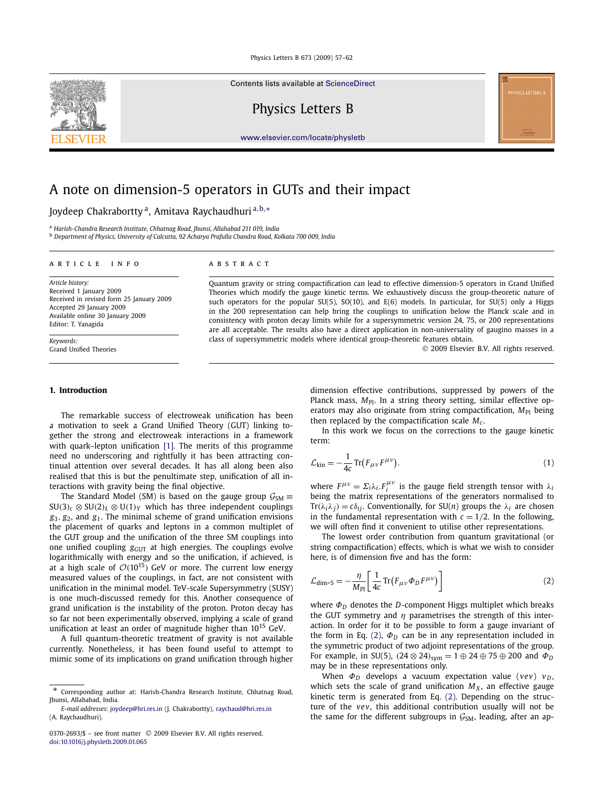Contents lists available at [ScienceDirect](http://www.ScienceDirect.com/)

Physics Letters B

[www.elsevier.com/locate/physletb](http://www.elsevier.com/locate/physletb)

# A note on dimension-5 operators in GUTs and their impact

# Joydeep Chakrabortty a, Amitava Raychaudhuri <sup>a</sup>*,*b*,*<sup>∗</sup>

<sup>a</sup> *Harish-Chandra Research Institute, Chhatnag Road, Jhunsi, Allahabad 211 019, India* <sup>b</sup> *Department of Physics, University of Calcutta, 92 Acharya Prafulla Chandra Road, Kolkata 700 009, India*

#### article info abstract

*Article history:* Received 1 January 2009 Received in revised form 25 January 2009 Accepted 29 January 2009 Available online 30 January 2009 Editor: T. Yanagida

*Keywords:* Grand Unified Theories

#### **1. Introduction**

The remarkable success of electroweak unification has been a motivation to seek a Grand Unified Theory (GUT) linking together the strong and electroweak interactions in a framework with quark–lepton unification [\[1\].](#page-4-0) The merits of this programme need no underscoring and rightfully it has been attracting continual attention over several decades. It has all along been also realised that this is but the penultimate step, unification of all interactions with gravity being the final objective.

The Standard Model (SM) is based on the gauge group  $G_{SM} \equiv$  $SU(3)_c \otimes SU(2)_L \otimes U(1)_Y$  which has three independent couplings *g*3*, g*2, and *g*1. The minimal scheme of grand unification envisions the placement of quarks and leptons in a common multiplet of the GUT group and the unification of the three SM couplings into one unified coupling  $g<sub>GUT</sub>$  at high energies. The couplings evolve logarithmically with energy and so the unification, if achieved, is at a high scale of  $O(10^{15})$  GeV or more. The current low energy measured values of the couplings, in fact, are not consistent with unification in the minimal model. TeV-scale Supersymmetry (SUSY) is one much-discussed remedy for this. Another consequence of grand unification is the instability of the proton. Proton decay has so far not been experimentally observed, implying a scale of grand unification at least an order of magnitude higher than 10<sup>15</sup> GeV.

A full quantum-theoretic treatment of gravity is not available currently. Nonetheless, it has been found useful to attempt to mimic some of its implications on grand unification through higher

Quantum gravity or string compactification can lead to effective dimension-5 operators in Grand Unified Theories which modify the gauge kinetic terms. We exhaustively discuss the group-theoretic nature of such operators for the popular SU(5), SO(10), and E(6) models. In particular, for SU(5) only a Higgs in the 200 representation can help bring the couplings to unification below the Planck scale and in consistency with proton decay limits while for a supersymmetric version 24, 75, or 200 representations are all acceptable. The results also have a direct application in non-universality of gaugino masses in a class of supersymmetric models where identical group-theoretic features obtain.

© 2009 Elsevier B.V. All rights reserved.

dimension effective contributions, suppressed by powers of the Planck mass,  $M_{\text{Pl}}$ . In a string theory setting, similar effective operators may also originate from string compactification, M<sub>Pl</sub> being then replaced by the compactification scale *Mc* .

In this work we focus on the corrections to the gauge kinetic term:

$$
\mathcal{L}_{\text{kin}} = -\frac{1}{4c} \operatorname{Tr} \left( F_{\mu\nu} F^{\mu\nu} \right). \tag{1}
$$

where  $F^{\mu\nu} = \Sigma_i \lambda_i F_i^{\mu\nu}$  is the gauge field strength tensor with  $\lambda_i$ being the matrix representations of the generators normalised to Tr( $\lambda_i \lambda_j$ ) =  $c \delta_{ij}$ . Conventionally, for SU(*n*) groups the  $\lambda_i$  are chosen in the fundamental representation with  $c = 1/2$ . In the following, we will often find it convenient to utilise other representations.

The lowest order contribution from quantum gravitational (or string compactification) effects, which is what we wish to consider here, is of dimension five and has the form:

$$
\mathcal{L}_{\text{dim-5}} = -\frac{\eta}{M_{\text{Pl}}} \left[ \frac{1}{4c} \text{Tr} \left( F_{\mu\nu} \Phi_D F^{\mu\nu} \right) \right] \tag{2}
$$

where *Φ<sup>D</sup>* denotes the *D*-component Higgs multiplet which breaks the GUT symmetry and *η* parametrises the strength of this interaction. In order for it to be possible to form a gauge invariant of the form in Eq. (2),  $\Phi_D$  can be in any representation included in the symmetric product of two adjoint representations of the group. For example, in SU(5),  $(24 \otimes 24)_{sym} = 1 \oplus 24 \oplus 75 \oplus 200$  and  $\Phi_D$ may be in these representations only.

When  $\Phi_D$  develops a vacuum expectation value (*vev*)  $v_D$ , which sets the scale of grand unification  $M_X$ , an effective gauge kinetic term is generated from Eq. (2). Depending on the structure of the *vev*, this additional contribution usually will not be the same for the different subgroups in  $G<sub>SM</sub>$ , leading, after an ap-

<span id="page-0-0"></span>

Corresponding author at: Harish-Chandra Research Institute, Chhatnag Road, Jhunsi, Allahabad, India.

*E-mail addresses:* [joydeep@hri.res.in](mailto:joydeep@hri.res.in) (J. Chakrabortty), [raychaud@hri.res.in](mailto:raychaud@hri.res.in) (A. Raychaudhuri).

<sup>0370-2693/\$ –</sup> see front matter © 2009 Elsevier B.V. All rights reserved. [doi:10.1016/j.physletb.2009.01.065](http://dx.doi.org/10.1016/j.physletb.2009.01.065)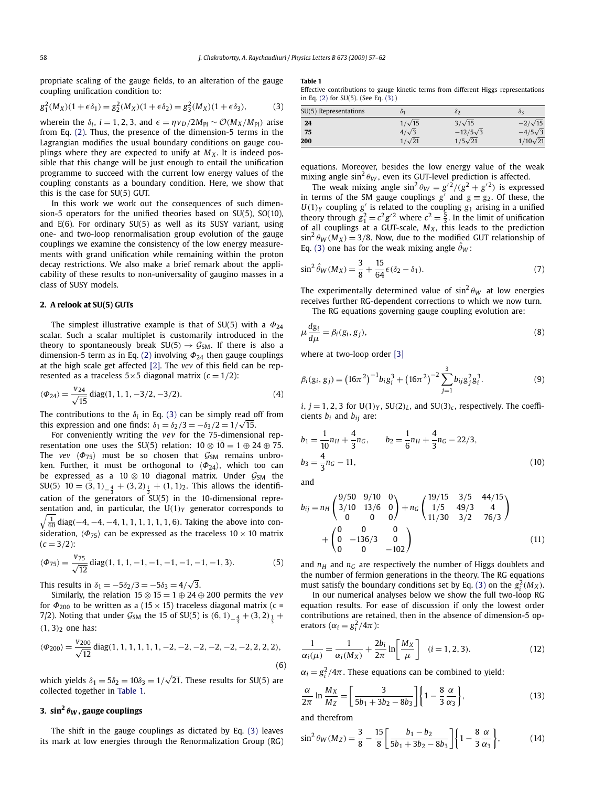<span id="page-1-0"></span>propriate scaling of the gauge fields, to an alteration of the gauge coupling unification condition to:

$$
g_1^2(M_X)(1+\epsilon \delta_1) = g_2^2(M_X)(1+\epsilon \delta_2) = g_3^2(M_X)(1+\epsilon \delta_3),
$$
 (3)

wherein the  $\delta_i$ , *i* = 1, 2, 3, and  $\epsilon = \eta v_D/2M_{Pl} \sim \mathcal{O}(M_X/M_{Pl})$  arise from Eq. [\(2\).](#page-0-0) Thus, the presence of the dimension-5 terms in the Lagrangian modifies the usual boundary conditions on gauge couplings where they are expected to unify at  $M_X$ . It is indeed possible that this change will be just enough to entail the unification programme to succeed with the current low energy values of the coupling constants as a boundary condition. Here, we show that this is the case for SU(5) GUT.

In this work we work out the consequences of such dimension-5 operators for the unified theories based on SU(5), SO(10), and E(6). For ordinary SU(5) as well as its SUSY variant, using one- and two-loop renormalisation group evolution of the gauge couplings we examine the consistency of the low energy measurements with grand unification while remaining within the proton decay restrictions. We also make a brief remark about the applicability of these results to non-universality of gaugino masses in a class of SUSY models.

#### **2. A relook at SU(5) GUTs**

The simplest illustrative example is that of SU(5) with a *Φ*<sup>24</sup> scalar. Such a scalar multiplet is customarily introduced in the theory to spontaneously break  $SU(5) \rightarrow \mathcal{G}_{SM}$ . If there is also a dimension-5 term as in Eq. [\(2\)](#page-0-0) involving *Φ*<sup>24</sup> then gauge couplings at the high scale get affected [\[2\].](#page-4-0) The *vev* of this field can be represented as a traceless  $5 \times 5$  diagonal matrix ( $c = 1/2$ ):

$$
\langle \Phi_{24} \rangle = \frac{v_{24}}{\sqrt{15}} \operatorname{diag}(1, 1, 1, -3/2, -3/2). \tag{4}
$$

The contributions to the  $\delta$ <sup>*i*</sup> in Eq. (3) can be simply read off from this expression and one finds:  $\delta_1 = \delta_2/3 = -\delta_3/2 = 1/\sqrt{15}$ .

For conveniently writing the *vev* for the 75-dimensional representation one uses the SU(5) relation:  $10 \otimes \overline{10} = 1 \oplus 24 \oplus 75$ . The *vev*  $\langle \Phi_{75} \rangle$  must be so chosen that  $\mathcal{G}_{SM}$  remains unbroken. Further, it must be orthogonal to  $\langle \Phi_{24} \rangle$ , which too can be expressed as a 10  $\otimes$  10 diagonal matrix. Under  $\mathcal{G}_{SM}$  the  $SU(5)$  10 =  $(3, 1)$ <sub>- $\frac{4}{3}$ </sub> +  $(3, 2)$ <sub> $\frac{1}{3}$ </sub> +  $(1, 1)$ <sub>2</sub>. This allows the identification of the generators of  $35U(5)$  in the 10-dimensional repre- 1 <sup>60</sup> diag*(*−4*,*−4*,*−4*,* 1*,* 1*,* 1*,* 1*,* 1*,* 1*,* 6*)*. Taking the above into consentation and, in particular, the  $U(1)_Y$  generator corresponds to

sideration, 
$$
\langle \Phi_{75} \rangle
$$
 can be expressed as the traceless 10 × 10 matrix  
(*c* = 3/2):

$$
\langle \Phi_{75} \rangle = \frac{v_{75}}{\sqrt{12}} \operatorname{diag}(1, 1, 1, -1, -1, -1, -1, -1, -1, 3). \tag{5}
$$

This results in  $\delta_1 = -5\delta_2/3 = -\frac{5}{\delta_3} = 4/\sqrt{3}$ .

Similarly, the relation  $15 \otimes \overline{15} = 1 \oplus 24 \oplus 200$  permits the *vev* for  $\Phi_{200}$  to be written as a (15  $\times$  15) traceless diagonal matrix (c = 7/2). Noting that under  $\mathcal{G}_{SM}$  the 15 of SU(5) is  $(6, 1)_{-\frac{4}{3}} + (3, 2)_{\frac{1}{3}} +$ *(*1*,* 3*)*<sup>2</sup> one has:

$$
\langle \Phi_{200} \rangle = \frac{v_{200}}{\sqrt{12}} \text{diag}(1, 1, 1, 1, 1, 1, -2, -2, -2, -2, -2, -2, 2, 2, 2), \tag{6}
$$

which yields  $\delta_1 = 5\delta_2 = 10\delta_3 = 1/\sqrt{21}$ . These results for SU(5) are collected together in Table 1.

## **3.** sin<sup>2</sup>  $\theta_W$ , gauge couplings

The shift in the gauge couplings as dictated by Eq. (3) leaves its mark at low energies through the Renormalization Group (RG)

**Table 1**

Effective contributions to gauge kinetic terms from different Higgs representations in Eq. [\(2\)](#page-0-0) for SU(5). (See Eq. (3).)

| SU(5) Representations | 01            | $\delta$        | 93              |
|-----------------------|---------------|-----------------|-----------------|
| 24                    | $1/\sqrt{15}$ | $3/\sqrt{15}$   | $-2/\sqrt{15}$  |
| 75                    | $4/\sqrt{3}$  | $-12/5\sqrt{3}$ | $-4/5\sqrt{3}$  |
| 200                   | $1/\sqrt{21}$ | $1/5\sqrt{21}$  | $1/10\sqrt{21}$ |

equations. Moreover, besides the low energy value of the weak mixing angle  $\sin^2 \theta_W$ , even its GUT-level prediction is affected.

The weak mixing angle  $\sin^2 \theta_W = g'^2/(g^2 + g'^2)$  is expressed in terms of the SM gauge couplings  $g'$  and  $g \equiv g_2$ . Of these, the  $U(1)_Y$  coupling  $g'$  is related to the coupling  $g_1$  arising in a unified theory through  $g_1^2 = c^2 g'^2$  where  $c^2 = \frac{5}{3}$ . In the limit of unification of all couplings at a GUT-scale,  $M_X$ , this leads to the prediction  $\sin^2 \theta_W (M_X) = 3/8$ . Now, due to the modified GUT relationship of Eq. (3) one has for the weak mixing angle  $\theta_W$ :

$$
\sin^2 \hat{\theta}_W(M_X) = \frac{3}{8} + \frac{15}{64} \epsilon (\delta_2 - \delta_1).
$$
 (7)

The experimentally determined value of  $\sin^2 \theta_W$  at low energies receives further RG-dependent corrections to which we now turn.

The RG equations governing gauge coupling evolution are:

$$
\mu \frac{dg_i}{d\mu} = \beta_i(g_i, g_j),\tag{8}
$$

where at two-loop order [\[3\]](#page-4-0)

$$
\beta_i(g_i, g_j) = (16\pi^2)^{-1} b_i g_i^3 + (16\pi^2)^{-2} \sum_{j=1}^3 b_{ij} g_j^2 g_i^3.
$$
 (9)

 $i, j = 1, 2, 3$  for  $U(1)_Y$ ,  $SU(2)_L$ , and  $SU(3)_c$ , respectively. The coefficients *bi* and *bij* are:

$$
b_1 = \frac{1}{10}n_H + \frac{4}{3}n_G, \qquad b_2 = \frac{1}{6}n_H + \frac{4}{3}n_G - 22/3,
$$
  

$$
b_3 = \frac{4}{3}n_G - 11,
$$
 (10)

and

$$
b_{ij} = n_H \begin{pmatrix} 9/50 & 9/10 & 0 \\ 3/10 & 13/6 & 0 \\ 0 & 0 & 0 \end{pmatrix} + n_G \begin{pmatrix} 19/15 & 3/5 & 44/15 \\ 1/5 & 49/3 & 4 \\ 11/30 & 3/2 & 76/3 \end{pmatrix}
$$
  
+  $\begin{pmatrix} 0 & 0 & 0 \\ 0 & -136/3 & 0 \\ 0 & 0 & -102 \end{pmatrix}$  (11)

and  $n_H$  and  $n_G$  are respectively the number of Higgs doublets and the number of fermion generations in the theory. The RG equations must satisfy the boundary conditions set by Eq. (3) on the  $g_i^2(M_X)$ .

In our numerical analyses below we show the full two-loop RG equation results. For ease of discussion if only the lowest order contributions are retained, then in the absence of dimension-5 operators  $(\alpha_i = g_i^2/4\pi)$ :

$$
\frac{1}{\alpha_i(\mu)} = \frac{1}{\alpha_i(M_X)} + \frac{2b_i}{2\pi} \ln \left[ \frac{M_X}{\mu} \right] \quad (i = 1, 2, 3). \tag{12}
$$

 $\alpha_i = g_i^2/4\pi$ . These equations can be combined to yield:

$$
\frac{\alpha}{2\pi} \ln \frac{M_X}{M_Z} = \left[ \frac{3}{5b_1 + 3b_2 - 8b_3} \right] \left\{ 1 - \frac{8}{3} \frac{\alpha}{\alpha_3} \right\},\tag{13}
$$

and therefrom

$$
\sin^2 \theta_W(M_Z) = \frac{3}{8} - \frac{15}{8} \left[ \frac{b_1 - b_2}{5b_1 + 3b_2 - 8b_3} \right] \left\{ 1 - \frac{8}{3} \frac{\alpha}{\alpha_3} \right\},\tag{14}
$$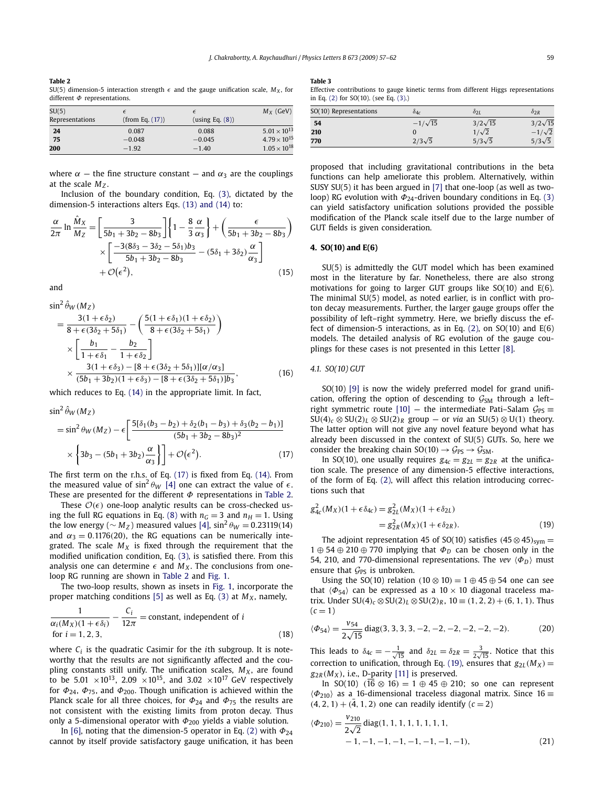#### <span id="page-2-0"></span>**Table 2** SU(5) dimension-5 interaction strength  $\epsilon$  and the gauge unification scale,  $M_X$ , for different *Φ* representations.

| SU(5)           |                 | $\epsilon$      | $M_X$ (GeV)           |
|-----------------|-----------------|-----------------|-----------------------|
| Representations | (from Eq. (17)) | (using Eq. (8)) |                       |
| 24              | 0.087           | 0.088           | $5.01 \times 10^{13}$ |
| 75              | $-0.048$        | $-0.045$        | $4.79 \times 10^{15}$ |
| 200             | $-1.92$         | $-1.40$         | $1.05 \times 10^{18}$ |

where  $\alpha$  – the fine structure constant – and  $\alpha_3$  are the couplings at the scale  $M<sub>z</sub>$ .

Inclusion of the boundary condition, Eq. [\(3\),](#page-1-0) dictated by the dimension-5 interactions alters Eqs. [\(13\) and \(14\)](#page-1-0) to:

$$
\frac{\alpha}{2\pi} \ln \frac{\hat{M}_X}{M_Z} = \left[ \frac{3}{5b_1 + 3b_2 - 8b_3} \right] \left\{ 1 - \frac{8}{3} \frac{\alpha}{\alpha_3} \right\} + \left( \frac{\epsilon}{5b_1 + 3b_2 - 8b_3} \right) \times \left[ \frac{-3(8\delta_3 - 3\delta_2 - 5\delta_1)b_3}{5b_1 + 3b_2 - 8b_3} - (5\delta_1 + 3\delta_2) \frac{\alpha}{\alpha_3} \right] + \mathcal{O}(\epsilon^2),\tag{15}
$$

and

$$
\sin^2 \hat{\theta}_W (M_Z)
$$
\n
$$
= \frac{3(1 + \epsilon \delta_2)}{8 + \epsilon (3\delta_2 + 5\delta_1)} - \left(\frac{5(1 + \epsilon \delta_1)(1 + \epsilon \delta_2)}{8 + \epsilon (3\delta_2 + 5\delta_1)}\right)
$$
\n
$$
\times \left[\frac{b_1}{1 + \epsilon \delta_1} - \frac{b_2}{1 + \epsilon \delta_2}\right]
$$
\n
$$
\times \frac{3(1 + \epsilon \delta_3) - [8 + \epsilon (3\delta_2 + 5\delta_1)][\alpha/\alpha_3]}{(5b_1 + 3b_2)(1 + \epsilon \delta_3) - [8 + \epsilon (3\delta_2 + 5\delta_1)]b_3},
$$
\n(16)

which reduces to Eq. [\(14\)](#page-1-0) in the appropriate limit. In fact,

$$
\sin^2 \hat{\theta}_W(M_Z) = \sin^2 \theta_W(M_Z) - \epsilon \left[ \frac{5[\delta_1(b_3 - b_2) + \delta_2(b_1 - b_3) + \delta_3(b_2 - b_1)]}{(5b_1 + 3b_2 - 8b_3)^2} \times \left\{ 3b_3 - (5b_1 + 3b_2) \frac{\alpha}{\alpha_3} \right\} \right] + \mathcal{O}(\epsilon^2).
$$
 (17)

The first term on the r.h.s. of Eq. (17) is fixed from Eq. [\(14\).](#page-1-0) From the measured value of  $\sin^2 \theta_W$  [\[4\]](#page-4-0) one can extract the value of  $\epsilon$ . These are presented for the different *Φ* representations in Table 2.

These  $\mathcal{O}(\epsilon)$  one-loop analytic results can be cross-checked us-ing the full RG equations in Eq. [\(8\)](#page-1-0) with  $n<sub>G</sub> = 3$  and  $n<sub>H</sub> = 1$ . Using the low energy ( $\sim M_Z$ ) measured values [\[4\],](#page-4-0)  $\sin^2 \theta_W = 0.23119(14)$ and  $\alpha_3 = 0.1176(20)$ , the RG equations can be numerically integrated. The scale  $M_X$  is fixed through the requirement that the modified unification condition, Eq. [\(3\),](#page-1-0) is satisfied there. From this analysis one can determine  $\epsilon$  and  $M_X$ . The conclusions from oneloop RG running are shown in Table 2 and [Fig. 1.](#page-3-0)

The two-loop results, shown as insets in [Fig. 1,](#page-3-0) incorporate the proper matching conditions [\[5\]](#page-4-0) as well as Eq. [\(3\)](#page-1-0) at  $M_X$ , namely,

$$
\frac{1}{\alpha_i(M_X)(1+\epsilon\delta_i)} - \frac{C_i}{12\pi} = \text{constant, independent of } i
$$
  
for  $i = 1, 2, 3,$  (18)

where  $C_i$  is the quadratic Casimir for the *i*th subgroup. It is noteworthy that the results are not significantly affected and the coupling constants still unify. The unification scales,  $M_X$ , are found to be 5.01  $\times 10^{13}$ , 2.09  $\times 10^{15}$ , and 3.02  $\times 10^{17}$  GeV respectively for  $\Phi_{24}$ ,  $\Phi_{75}$ , and  $\Phi_{200}$ . Though unification is achieved within the Planck scale for all three choices, for *Φ*<sup>24</sup> and *Φ*<sup>75</sup> the results are not consistent with the existing limits from proton decay. Thus only a 5-dimensional operator with *Φ*<sup>200</sup> yields a viable solution.

In [\[6\],](#page-4-0) noting that the dimension-5 operator in Eq. [\(2\)](#page-0-0) with *Φ*<sup>24</sup> cannot by itself provide satisfactory gauge unification, it has been

#### **Table 3**

Effective contributions to gauge kinetic terms from different Higgs representations in Eq. [\(2\)](#page-0-0) for SO(10). (see Eq. [\(3\).](#page-1-0))

| SO(10) Representations | $\delta_{4c}$  | $\delta$ <sub>2</sub> L | $\delta$ <sub>2</sub> R |
|------------------------|----------------|-------------------------|-------------------------|
| -54                    | $-1/\sqrt{15}$ | $3/2\sqrt{15}$          | $3/2\sqrt{15}$          |
| 210                    |                | $1/\sqrt{2}$            | $-1/\sqrt{2}$           |
| 770                    | $2/3\sqrt{5}$  | $5/3\sqrt{5}$           | $5/3\sqrt{5}$           |

proposed that including gravitational contributions in the beta functions can help ameliorate this problem. Alternatively, within SUSY SU(5) it has been argued in [\[7\]](#page-4-0) that one-loop (as well as twoloop) RG evolution with  $Φ<sub>24</sub>$ -driven boundary conditions in Eq. [\(3\)](#page-1-0) can yield satisfactory unification solutions provided the possible modification of the Planck scale itself due to the large number of GUT fields is given consideration.

## **4. SO(10) and E(6)**

SU(5) is admittedly the GUT model which has been examined most in the literature by far. Nonetheless, there are also strong motivations for going to larger GUT groups like SO(10) and E(6). The minimal SU(5) model, as noted earlier, is in conflict with proton decay measurements. Further, the larger gauge groups offer the possibility of left–right symmetry. Here, we briefly discuss the effect of dimension-5 interactions, as in Eq.  $(2)$ , on SO $(10)$  and E $(6)$ models. The detailed analysis of RG evolution of the gauge couplings for these cases is not presented in this Letter [\[8\].](#page-4-0)

*4.1. SO(10) GUT*

SO(10) [\[9\]](#page-4-0) is now the widely preferred model for grand unification, offering the option of descending to  $G<sub>SM</sub>$  through a left-right symmetric route [\[10\]](#page-4-0) — the intermediate Pati–Salam  $\mathcal{G}_{PS}$  =  $SU(4)_c \otimes SU(2)_L \otimes SU(2)_R$  group — or *via* an  $SU(5) \otimes U(1)$  theory. The latter option will not give any novel feature beyond what has already been discussed in the context of SU(5) GUTs. So, here we consider the breaking chain  $SO(10) \rightarrow \mathcal{G}_{PS} \rightarrow \mathcal{G}_{SM}$ .

In SO(10), one usually requires  $g_{4c} = g_{2L} = g_{2R}$  at the unification scale. The presence of any dimension-5 effective interactions, of the form of Eq. [\(2\),](#page-0-0) will affect this relation introducing corrections such that

$$
g_{4c}^2(M_X)(1 + \epsilon \delta_{4c}) = g_{2L}^2(M_X)(1 + \epsilon \delta_{2L})
$$
  
=  $g_{2R}^2(M_X)(1 + \epsilon \delta_{2R}).$  (19)

The adjoint representation 45 of SO(10) satisfies  $(45 \otimes 45)_{sym}$  = 1 ⊕ 54 ⊕ 210 ⊕ 770 implying that *Φ<sup>D</sup>* can be chosen only in the 54, 210, and 770-dimensional representations. The *vev*  $\langle \Phi_D \rangle$  must ensure that  $\mathcal{G}_{PS}$  is unbroken.

Using the SO(10) relation  $(10 \otimes 10) = 1 \oplus 45 \oplus 54$  one can see that  $\langle \Phi_{54} \rangle$  can be expressed as a 10  $\times$  10 diagonal traceless matrix. Under  $SU(4)_c$  ⊗  $SU(2)_L$  ⊗  $SU(2)_R$ , 10 ≡ (1, 2, 2) + (6, 1, 1). Thus  $(c = 1)$ 

$$
\langle \Phi_{54} \rangle = \frac{v_{54}}{2\sqrt{15}} \operatorname{diag}(3, 3, 3, 3, -2, -2, -2, -2, -2, -2). \tag{20}
$$

This leads to  $\delta_{4c} = -\frac{1}{\sqrt{15}}$  and  $\delta_{2L} = \delta_{2R} = \frac{3}{2\sqrt{15}}$ . Notice that this correction to unification, through Eq. (19), ensures that  $g_{2L}(M_X)$  =  $g_{2R}(M_X)$ , i.e., D-parity [\[11\]](#page-5-0) is preserved.

In SO(10)  $(\overline{16} \otimes 16) = 1 \oplus 45 \oplus 210$ ; so one can represent  $\langle \Phi_{210} \rangle$  as a 16-dimensional traceless diagonal matrix. Since 16 =  $(4, 2, 1) + (\bar{4}, 1, 2)$  one can readily identify  $(c = 2)$ 

$$
\langle \Phi_{210} \rangle = \frac{v_{210}}{2\sqrt{2}} \operatorname{diag}(1, 1, 1, 1, 1, 1, 1, 1, 1, -1, -1, -1, -1, -1)
$$
\n
$$
-1, -1, -1, -1, -1, -1, -1, -1)
$$
\n(21)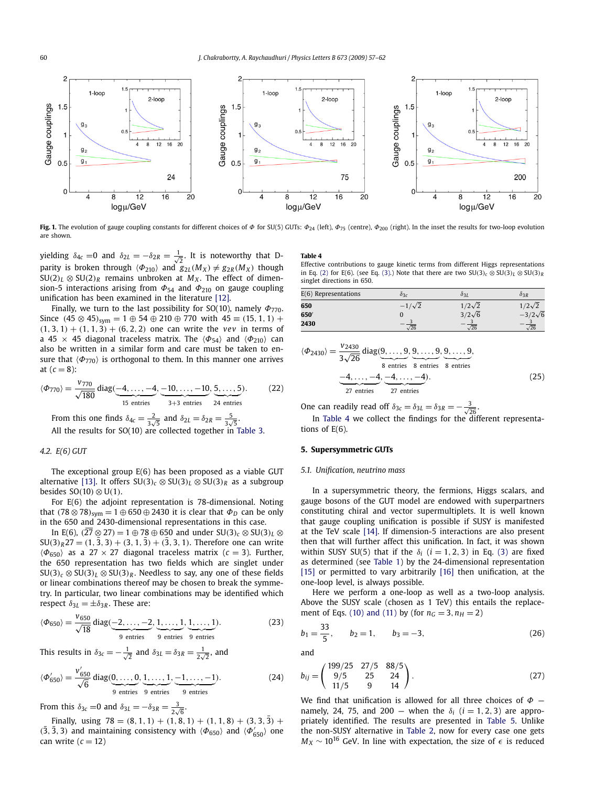<span id="page-3-0"></span>

**Fig. 1.** The evolution of gauge coupling constants for different choices of *Φ* for SU(5) GUTs: *Φ*<sup>24</sup> (left), *Φ*<sup>75</sup> (centre), *Φ*<sup>200</sup> (right). In the inset the results for two-loop evolution are shown.

yielding  $\delta_{4c} = 0$  and  $\delta_{2L} = -\delta_{2R} = \frac{1}{\sqrt{2}}$ . It is noteworthy that Dparity is broken through  $\langle \Phi_{210} \rangle$  and  $g_{2L}(M_X) \neq g_{2R}(M_X)$  though  $SU(2)_L \otimes SU(2)_R$  remains unbroken at  $M_X$ . The effect of dimension-5 interactions arising from  $\Phi_{54}$  and  $\Phi_{210}$  on gauge coupling unification has been examined in the literature [\[12\].](#page-5-0)

Finally, we turn to the last possibility for SO(10), namely *Φ*770. Since  $(45 \otimes 45)_{sym} = 1 \oplus 54 \oplus 210 \oplus 770$  with  $45 \equiv (15, 1, 1) +$  $(1, 3, 1) + (1, 1, 3) + (6, 2, 2)$  one can write the *vev* in terms of a 45 × 45 diagonal traceless matrix. The  $\langle \Phi_{54} \rangle$  and  $\langle \Phi_{210} \rangle$  can also be written in a similar form and care must be taken to ensure that  $\langle \Phi_{770} \rangle$  is orthogonal to them. In this manner one arrives at  $(c = 8)$ :

$$
\langle \Phi_{770} \rangle = \frac{v_{770}}{\sqrt{180}} \operatorname{diag}(\underbrace{-4, \dots, -4}_{15 \text{ entries}}, \underbrace{-10, \dots, -10}_{3+3 \text{ entries}}, \underbrace{5, \dots, 5}_{24 \text{ entries}}). \tag{22}
$$

From this one finds  $\delta_{4c} = \frac{2}{3\sqrt{5}}$  and  $\delta_{2L} = \delta_{2R} = \frac{5}{3\sqrt{5}}$ . All the results for SO(10) are collected together in [Table 3.](#page-2-0)

## *4.2. E(6) GUT*

The exceptional group E(6) has been proposed as a viable GUT alternative [\[13\].](#page-5-0) It offers  $SU(3)_c \otimes SU(3)_L \otimes SU(3)_R$  as a subgroup besides SO*(*10*)* ⊗ U*(*1*)*.

For E(6) the adjoint representation is 78-dimensional. Noting that  $(78 \otimes 78)_{sym} = 1 \oplus 650 \oplus 2430$  it is clear that  $\Phi_D$  can be only in the 650 and 2430-dimensional representations in this case.

In E(6),  $(27 \otimes 27) = 1 \oplus 78 \oplus 650$  and under  $SU(3)_c \otimes SU(3)_L \otimes$  $SU(3)_R$ 27 =  $(1, \bar{3}, 3) + (3, 1, \bar{3}) + (\bar{3}, 3, 1)$ . Therefore one can write  $\langle \Phi_{650} \rangle$  as a 27 × 27 diagonal traceless matrix ( $c = 3$ ). Further, the 650 representation has two fields which are singlet under  $SU(3)_c \otimes SU(3)_L \otimes SU(3)_R$ . Needless to say, any one of these fields or linear combinations thereof may be chosen to break the symmetry. In particular, two linear combinations may be identified which respect  $\delta_{3L} = \pm \delta_{3R}$ . These are:

$$
\langle \Phi_{650} \rangle = \frac{v_{650}}{\sqrt{18}} \operatorname{diag}(\underbrace{-2, \dots, -2}_{9 \text{ entries}}, \underbrace{1, \dots, 1}_{9 \text{ entries}}, \underbrace{1, \dots, 1}_{9 \text{ entries}}).
$$
 (23)

This results in  $\delta_{3c} = -\frac{1}{\sqrt{2}}$  and  $\delta_{3L} = \delta_{3R} = \frac{1}{2\sqrt{2}}$ , and

$$
\langle \Phi'_{650} \rangle = \frac{v'_{650}}{\sqrt{6}} \operatorname{diag}(\underbrace{0, \dots, 0}_{9 \text{ entries}}, \underbrace{1, \dots, 1}_{9 \text{ entries}}, \underbrace{-1, \dots, -1}_{9 \text{ entries}}). \tag{24}
$$

From this  $\delta_{3c} = 0$  and  $\delta_{3L} = -\delta_{3R} = \frac{3}{2\sqrt{6}}$ .

Finally, using  $78 = (8, 1, 1) + (1, 8, 1) + (1, 1, 8) + (3, 3, 3) +$  $(3, 3, 3)$  and maintaining consistency with  $\langle \Phi_{650} \rangle$  and  $\langle \Phi'_{650} \rangle$  one can write  $(c = 12)$ 

#### **Table 4**

Effective contributions to gauge kinetic terms from different Higgs representations in Eq. [\(2\)](#page-0-0) for E(6). (see Eq. [\(3\).](#page-1-0)) Note that there are two  $SU(3)_c \otimes SU(3)_L \otimes SU(3)_R$ singlet directions in 650.

| $E(6)$ Representations | $\delta$ 3c   | 931           | $\delta_{3R}$  |
|------------------------|---------------|---------------|----------------|
| 650                    | $-1/\sqrt{2}$ | $1/2\sqrt{2}$ | $1/2\sqrt{2}$  |
| 650                    |               | $3/2\sqrt{6}$ | $-3/2\sqrt{6}$ |
| 2430                   | $\sqrt{26}$   | $\sqrt{26}$   | $\sqrt{26}$    |

$$
\langle \Phi_{2430} \rangle = \frac{v_{2430}}{3\sqrt{26}} \operatorname{diag}(9, \dots, 9, 9, \dots, 9, 9, \dots, 9, 9, \dots, 9, 8 \text{ entries} \times 8 \text{ entries} \times 8 \text{ entries} \times 8 \text{ entries} \times 10^{-4}, \dots, -4, -4, \dots, -4).
$$
\n(25)

One can readily read off  $\delta_{3c} = \delta_{3L} = \delta_{3R} = -\frac{3}{\sqrt{26}}$ .

In Table 4 we collect the findings for the different representations of E(6).

## **5. Supersymmetric GUTs**

#### *5.1. Unification, neutrino mass*

In a supersymmetric theory, the fermions, Higgs scalars, and gauge bosons of the GUT model are endowed with superpartners constituting chiral and vector supermultiplets. It is well known that gauge coupling unification is possible if SUSY is manifested at the TeV scale [\[14\].](#page-5-0) If dimension-5 interactions are also present then that will further affect this unification. In fact, it was shown within SUSY SU(5) that if the  $\delta_i$  ( $i = 1, 2, 3$ ) in Eq. [\(3\)](#page-1-0) are fixed as determined (see [Table 1\)](#page-1-0) by the 24-dimensional representation [\[15\]](#page-5-0) or permitted to vary arbitrarily [\[16\]](#page-5-0) then unification, at the one-loop level, is always possible.

Here we perform a one-loop as well as a two-loop analysis. Above the SUSY scale (chosen as 1 TeV) this entails the replace-ment of Eqs. [\(10\) and \(11\)](#page-1-0) by (for  $n_G = 3, n_H = 2$ )

$$
b_1 = \frac{33}{5}, \qquad b_2 = 1, \qquad b_3 = -3, \tag{26}
$$

and

$$
b_{ij} = \begin{pmatrix} 199/25 & 27/5 & 88/5 \\ 9/5 & 25 & 24 \\ 11/5 & 9 & 14 \end{pmatrix}.
$$
 (27)

We find that unification is allowed for all three choices of *Φ* namely, 24, 75, and 200 – when the  $\delta_i$  ( $i = 1, 2, 3$ ) are appropriately identified. The results are presented in [Table 5.](#page-4-0) Unlike the non-SUSY alternative in [Table 2,](#page-2-0) now for every case one gets  $M_X \sim 10^{16}$  GeV. In line with expectation, the size of  $\epsilon$  is reduced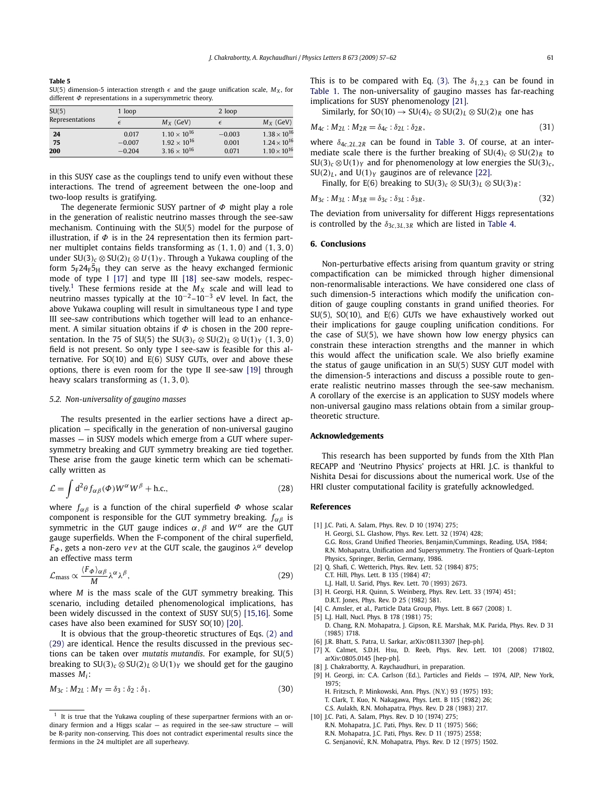<span id="page-4-0"></span>

| Table 5                                                                                        |  |
|------------------------------------------------------------------------------------------------|--|
| SU(5) dimension-5 interaction strength $\epsilon$ and the gauge unification scale, $M_X$ , for |  |
| different $\Phi$ representations in a supersymmetric theory.                                   |  |

| SU(5)           | 1 loop   |                       |            | 2 loop                |  |
|-----------------|----------|-----------------------|------------|-----------------------|--|
| Representations |          | $M_X$ (GeV)           | $\epsilon$ | $M_X$ (GeV)           |  |
| 24              | 0.017    | $1.10 \times 10^{16}$ | $-0.003$   | $1.38 \times 10^{16}$ |  |
| 75              | $-0.007$ | $1.92 \times 10^{16}$ | 0.001      | $1.24 \times 10^{16}$ |  |
| 200             | $-0.204$ | $3.16 \times 10^{16}$ | 0.071      | $1.10 \times 10^{16}$ |  |

in this SUSY case as the couplings tend to unify even without these interactions. The trend of agreement between the one-loop and two-loop results is gratifying.

The degenerate fermionic SUSY partner of *Φ* might play a role in the generation of realistic neutrino masses through the see-saw mechanism. Continuing with the SU(5) model for the purpose of illustration, if  $\Phi$  is in the 24 representation then its fermion partner multiplet contains fields transforming as (1*,* 1*,* 0) and (1*,* 3*,* 0) under  $SU(3)_c \otimes SU(2)_L \otimes U(1)_Y$ . Through a Yukawa coupling of the form  $5_F24_F\bar{5}_H$  they can serve as the heavy exchanged fermionic mode of type I [\[17\]](#page-5-0) and type III [\[18\]](#page-5-0) see-saw models, respectively.<sup>1</sup> These fermions reside at the  $M_X$  scale and will lead to neutrino masses typically at the  $10^{-2}$ – $10^{-3}$  eV level. In fact, the above Yukawa coupling will result in simultaneous type I and type III see-saw contributions which together will lead to an enhancement. A similar situation obtains if *Φ* is chosen in the 200 representation. In the 75 of SU(5) the SU(3)<sub>*c*</sub> ⊗ SU(2)<sub>*L*</sub> ⊗ U(1)<sub>*Y*</sub> (1*,* 3*,* 0) field is not present. So only type I see-saw is feasible for this alternative. For  $SO(10)$  and  $E(6)$  SUSY GUTs, over and above these options, there is even room for the type II see-saw [\[19\]](#page-5-0) through heavy scalars transforming as (1*,* 3*,* 0).

#### *5.2. Non-universality of gaugino masses*

The results presented in the earlier sections have a direct application — specifically in the generation of non-universal gaugino masses — in SUSY models which emerge from a GUT where supersymmetry breaking and GUT symmetry breaking are tied together. These arise from the gauge kinetic term which can be schematically written as

$$
\mathcal{L} = \int d^2 \theta f_{\alpha\beta}(\Phi) W^{\alpha} W^{\beta} + \text{h.c.},
$$
\n(28)

where *fαβ* is a function of the chiral superfield *Φ* whose scalar component is responsible for the GUT symmetry breaking. *fαβ* is symmetric in the GUT gauge indices  $\alpha$ ,  $\beta$  and  $W^{\alpha}$  are the GUT gauge superfields. When the F-component of the chiral superfield, *F*<sub> $\Phi$ </sub>, gets a non-zero *vev* at the GUT scale, the gauginos  $\lambda^{\alpha}$  develop an effective mass term

$$
\mathcal{L}_{\text{mass}} \propto \frac{\langle F_{\phi} \rangle_{\alpha\beta}}{M} \lambda^{\alpha} \lambda^{\beta},\tag{29}
$$

where *M* is the mass scale of the GUT symmetry breaking. This scenario, including detailed phenomenological implications, has been widely discussed in the context of SUSY SU(5) [\[15,16\].](#page-5-0) Some cases have also been examined for SUSY SO(10) [\[20\].](#page-5-0)

It is obvious that the group-theoretic structures of Eqs. [\(2\) and](#page-0-0) [\(29\)](#page-0-0) are identical. Hence the results discussed in the previous sections can be taken over *mutatis mutandis*. For example, for SU(5) breaking to  $SU(3)_c \otimes SU(2)_L \otimes U(1)_Y$  we should get for the gaugino masses *Mi*:

$$
M_{3c}: M_{2L}: M_Y = \delta_3: \delta_2: \delta_1.
$$
\n
$$
(30)
$$

This is to be compared with Eq. [\(3\).](#page-1-0) The  $\delta_{1,2,3}$  can be found in [Table 1.](#page-1-0) The non-universality of gaugino masses has far-reaching implications for SUSY phenomenology [\[21\].](#page-5-0)

Similarly, for  $SO(10) \rightarrow SU(4)_c \otimes SU(2)_L \otimes SU(2)_R$  one has

$$
M_{4c}: M_{2L}: M_{2R} = \delta_{4c}: \delta_{2L}: \delta_{2R}, \tag{31}
$$

where *δ*4*c,*2*L,*2*<sup>R</sup>* can be found in [Table 3.](#page-2-0) Of course, at an intermediate scale there is the further breaking of  $SU(4)_c \otimes SU(2)_R$  to  $SU(3)_c \otimes U(1)_Y$  and for phenomenology at low energies the  $SU(3)_c$ ,  $SU(2)_L$ , and  $U(1)_Y$  gauginos are of relevance [\[22\].](#page-5-0)

Finally, for E(6) breaking to  $SU(3)_c \otimes SU(3)_L \otimes SU(3)_R$ :

$$
M_{3c}: M_{3L}: M_{3R} = \delta_{3c}: \delta_{3L}: \delta_{3R}. \tag{32}
$$

The deviation from universality for different Higgs representations is controlled by the  $\delta_{3c,3L,3R}$  which are listed in [Table 4.](#page-3-0)

### **6. Conclusions**

Non-perturbative effects arising from quantum gravity or string compactification can be mimicked through higher dimensional non-renormalisable interactions. We have considered one class of such dimension-5 interactions which modify the unification condition of gauge coupling constants in grand unified theories. For SU(5), SO(10), and E(6) GUTs we have exhaustively worked out their implications for gauge coupling unification conditions. For the case of SU(5), we have shown how low energy physics can constrain these interaction strengths and the manner in which this would affect the unification scale. We also briefly examine the status of gauge unification in an SU(5) SUSY GUT model with the dimension-5 interactions and discuss a possible route to generate realistic neutrino masses through the see-saw mechanism. A corollary of the exercise is an application to SUSY models where non-universal gaugino mass relations obtain from a similar grouptheoretic structure.

#### **Acknowledgements**

This research has been supported by funds from the XIth Plan RECAPP and 'Neutrino Physics' projects at HRI. J.C. is thankful to Nishita Desai for discussions about the numerical work. Use of the HRI cluster computational facility is gratefully acknowledged.

### **References**

- [1] J.C. Pati, A. Salam, Phys. Rev. D 10 (1974) 275;
	- H. Georgi, S.L. Glashow, Phys. Rev. Lett. 32 (1974) 428; G.G. Ross, Grand Unified Theories, Benjamin/Cummings, Reading, USA, 1984; R.N. Mohapatra, Unification and Supersymmetry. The Frontiers of Quark–Lepton Physics, Springer, Berlin, Germany, 1986.
- [2] Q. Shafi, C. Wetterich, Phys. Rev. Lett. 52 (1984) 875; C.T. Hill, Phys. Lett. B 135 (1984) 47;
	- L.J. Hall, U. Sarid, Phys. Rev. Lett. 70 (1993) 2673.
- [3] H. Georgi, H.R. Quinn, S. Weinberg, Phys. Rev. Lett. 33 (1974) 451;
- D.R.T. Jones, Phys. Rev. D 25 (1982) 581.
- [4] C. Amsler, et al., Particle Data Group, Phys. Lett. B 667 (2008) 1.
- [5] L.J. Hall, Nucl. Phys. B 178 (1981) 75; D. Chang, R.N. Mohapatra, J. Gipson, R.E. Marshak, M.K. Parida, Phys. Rev. D 31 (1985) 1718.
- [6] J.R. Bhatt, S. Patra, U. Sarkar, arXiv:0811.3307 [hep-ph].
- [7] X. Calmet, S.D.H. Hsu, D. Reeb, Phys. Rev. Lett. 101 (2008) 171802,
- arXiv:0805.0145 [hep-ph].
- [8] J. Chakrabortty, A. Raychaudhuri, in preparation.
- [9] H. Georgi, in: C.A. Carlson (Ed.), Particles and Fields 1974, AIP, New York, 1975;
	- H. Fritzsch, P. Minkowski, Ann. Phys. (N.Y.) 93 (1975) 193; T. Clark, T. Kuo, N. Nakagawa, Phys. Lett. B 115 (1982) 26; C.S. Aulakh, R.N. Mohapatra, Phys. Rev. D 28 (1983) 217.
- [10] J.C. Pati, A. Salam, Phys. Rev. D 10 (1974) 275; R.N. Mohapatra, J.C. Pati, Phys. Rev. D 11 (1975) 566; R.N. Mohapatra, J.C. Pati, Phys. Rev. D 11 (1975) 2558; G. Senjanović, R.N. Mohapatra, Phys. Rev. D 12 (1975) 1502.

 $1$  It is true that the Yukawa coupling of these superpartner fermions with an ordinary fermion and a Higgs scalar  $-$  as required in the see-saw structure  $-$  will be R-parity non-conserving. This does not contradict experimental results since the fermions in the 24 multiplet are all superheavy.